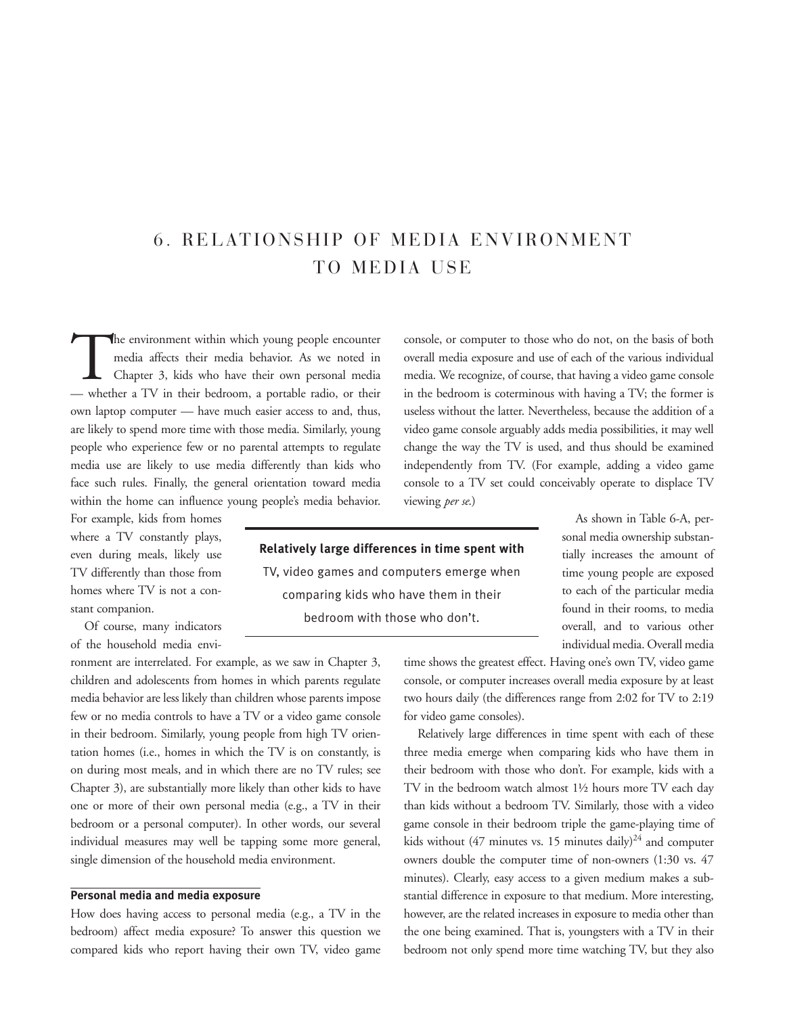# 6. RELATIONSHIP OF MEDIA ENVIRONMENT TO MEDIA USE

The environment within which young people encounter<br>media affects their media behavior. As we noted in<br>Chapter 3, kids who have their own personal media<br>whether a TV in their bedroom a portable ratio or their media affects their media behavior. As we noted in Chapter 3, kids who have their own personal media — whether a TV in their bedroom, a portable radio, or their own laptop computer — have much easier access to and, thus, are likely to spend more time with those media. Similarly, young people who experience few or no parental attempts to regulate media use are likely to use media differently than kids who face such rules. Finally, the general orientation toward media within the home can influence young people's media behavior.

For example, kids from homes where a TV constantly plays, even during meals, likely use TV differently than those from homes where TV is not a constant companion.

Of course, many indicators of the household media envi-

ronment are interrelated. For example, as we saw in Chapter 3, children and adolescents from homes in which parents regulate media behavior are less likely than children whose parents impose few or no media controls to have a TV or a video game console in their bedroom. Similarly, young people from high TV orientation homes (i.e., homes in which the TV is on constantly, is on during most meals, and in which there are no TV rules; see Chapter 3), are substantially more likely than other kids to have one or more of their own personal media (e.g., a TV in their bedroom or a personal computer). In other words, our several individual measures may well be tapping some more general, single dimension of the household media environment.

#### **Personal media and media exposure**

How does having access to personal media (e.g., a TV in the bedroom) affect media exposure? To answer this question we compared kids who report having their own TV, video game console, or computer to those who do not, on the basis of both overall media exposure and use of each of the various individual media. We recognize, of course, that having a video game console in the bedroom is coterminous with having a TV; the former is useless without the latter. Nevertheless, because the addition of a video game console arguably adds media possibilities, it may well change the way the TV is used, and thus should be examined independently from TV. (For example, adding a video game console to a TV set could conceivably operate to displace TV viewing *per se*.)

## **Relatively large differences in time spent with** TV, video games and computers emerge when

comparing kids who have them in their bedroom with those who don't.

As shown in Table 6-A, personal media ownership substantially increases the amount of time young people are exposed to each of the particular media found in their rooms, to media overall, and to various other individual media. Overall media

time shows the greatest effect. Having one's own TV, video game console, or computer increases overall media exposure by at least two hours daily (the differences range from 2:02 for TV to 2:19 for video game consoles).

Relatively large differences in time spent with each of these three media emerge when comparing kids who have them in their bedroom with those who don't. For example, kids with a TV in the bedroom watch almost 1½ hours more TV each day than kids without a bedroom TV. Similarly, those with a video game console in their bedroom triple the game-playing time of kids without (47 minutes vs. 15 minutes daily)<sup>24</sup> and computer owners double the computer time of non-owners (1:30 vs. 47 minutes). Clearly, easy access to a given medium makes a substantial difference in exposure to that medium. More interesting, however, are the related increases in exposure to media other than the one being examined. That is, youngsters with a TV in their bedroom not only spend more time watching TV, but they also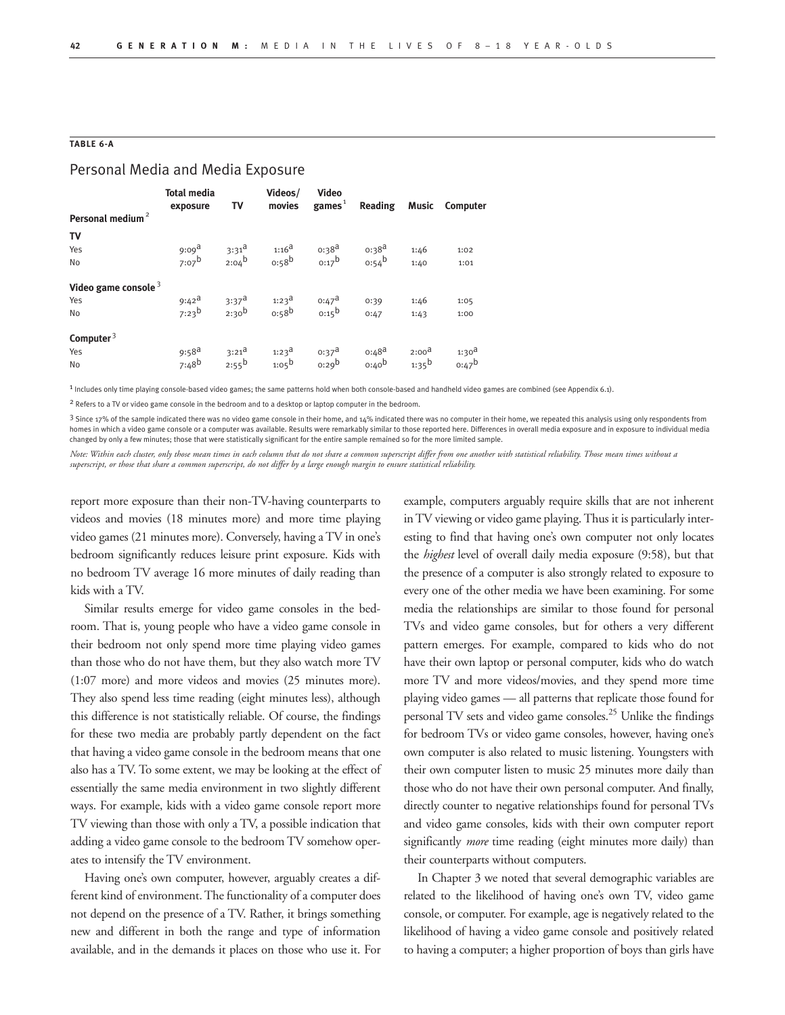#### **TABLE 6-A**

## Personal Media and Media Exposure

|                              | <b>Total media</b><br>exposure | <b>TV</b>         | Videos/                                                                                                                                                                                | Video    |                   |                   | movies games <sup>1</sup> Reading Music Computer |
|------------------------------|--------------------------------|-------------------|----------------------------------------------------------------------------------------------------------------------------------------------------------------------------------------|----------|-------------------|-------------------|--------------------------------------------------|
| Personal medium <sup>2</sup> |                                |                   |                                                                                                                                                                                        |          |                   |                   |                                                  |
| TV                           |                                |                   |                                                                                                                                                                                        |          |                   |                   |                                                  |
| Yes                          |                                |                   | 9:09 <sup>a</sup> 3:31 <sup>a</sup> 1:16 <sup>a</sup> 0:38 <sup>a</sup> 0:38 <sup>a</sup><br>7:07 <sup>b</sup> 2:04 <sup>b</sup> 0:58 <sup>b</sup> 0:17 <sup>b</sup> 0:54 <sup>b</sup> |          |                   | 1:46              | 1:02                                             |
| No                           |                                |                   |                                                                                                                                                                                        |          |                   | 1:40              | 1:01                                             |
| Video game console $3$       |                                |                   |                                                                                                                                                                                        |          |                   |                   |                                                  |
| Yes                          |                                |                   | 9:42 <sup>a</sup> 3:37 <sup>a</sup> 1:23 <sup>a</sup> 0:47 <sup>a</sup><br>7:23 <sup>b</sup> 2:30 <sup>b</sup> 0:58 <sup>b</sup> 0:15 <sup>b</sup>                                     |          | 0:39              | 1:46              | 1:05                                             |
| No                           |                                |                   |                                                                                                                                                                                        |          | 0:47              | 1:43              | 1:00                                             |
| Computer $3$                 |                                |                   |                                                                                                                                                                                        |          |                   |                   |                                                  |
| Yes                          | $9:58^{\text{a}}$              | $3:21^{\text{a}}$ | $1:23^{\text{d}}$                                                                                                                                                                      | $0:37^a$ | $0:48^{\text{a}}$ | $2:00^{\text{d}}$ | 1:30 <sup>d</sup>                                |
| No                           | $7:48^b$                       |                   | $2:55^b$ $1:05^b$ $0:29^b$                                                                                                                                                             |          | 0:40 <sup>b</sup> | $1:35^{\sf b}$    | $0:47^b$                                         |

1 Includes only time playing console-based video games; the same patterns hold when both console-based and handheld video games are combined (see Appendix 6.1).

2 Refers to a TV or video game console in the bedroom and to a desktop or laptop computer in the bedroom.

3 Since 17% of the sample indicated there was no video game console in their home, and 14% indicated there was no computer in their home, we repeated this analysis using only respondents from homes in which a video game console or a computer was available. Results were remarkably similar to those reported here. Differences in overall media exposure and in exposure to individual media changed by only a few minutes; those that were statistically significant for the entire sample remained so for the more limited sample.

*Note: Within each cluster, only those mean times in each column that do not share a common superscript differ from one another with statistical reliability. Those mean times without a superscript, or those that share a common superscript, do not differ by a large enough margin to ensure statistical reliability.*

report more exposure than their non-TV-having counterparts to videos and movies (18 minutes more) and more time playing video games (21 minutes more). Conversely, having a TV in one's bedroom significantly reduces leisure print exposure. Kids with no bedroom TV average 16 more minutes of daily reading than kids with a TV.

Similar results emerge for video game consoles in the bedroom. That is, young people who have a video game console in their bedroom not only spend more time playing video games than those who do not have them, but they also watch more TV (1:07 more) and more videos and movies (25 minutes more). They also spend less time reading (eight minutes less), although this difference is not statistically reliable. Of course, the findings for these two media are probably partly dependent on the fact that having a video game console in the bedroom means that one also has a TV. To some extent, we may be looking at the effect of essentially the same media environment in two slightly different ways. For example, kids with a video game console report more TV viewing than those with only a TV, a possible indication that adding a video game console to the bedroom TV somehow operates to intensify the TV environment.

Having one's own computer, however, arguably creates a different kind of environment. The functionality of a computer does not depend on the presence of a TV. Rather, it brings something new and different in both the range and type of information available, and in the demands it places on those who use it. For example, computers arguably require skills that are not inherent in TV viewing or video game playing. Thus it is particularly interesting to find that having one's own computer not only locates the *highest* level of overall daily media exposure (9:58), but that the presence of a computer is also strongly related to exposure to every one of the other media we have been examining. For some media the relationships are similar to those found for personal TVs and video game consoles, but for others a very different pattern emerges. For example, compared to kids who do not have their own laptop or personal computer, kids who do watch more TV and more videos/movies, and they spend more time playing video games — all patterns that replicate those found for personal TV sets and video game consoles.25 Unlike the findings for bedroom TVs or video game consoles, however, having one's own computer is also related to music listening. Youngsters with their own computer listen to music 25 minutes more daily than those who do not have their own personal computer. And finally, directly counter to negative relationships found for personal TVs and video game consoles, kids with their own computer report significantly *more* time reading (eight minutes more daily) than their counterparts without computers.

In Chapter 3 we noted that several demographic variables are related to the likelihood of having one's own TV, video game console, or computer. For example, age is negatively related to the likelihood of having a video game console and positively related to having a computer; a higher proportion of boys than girls have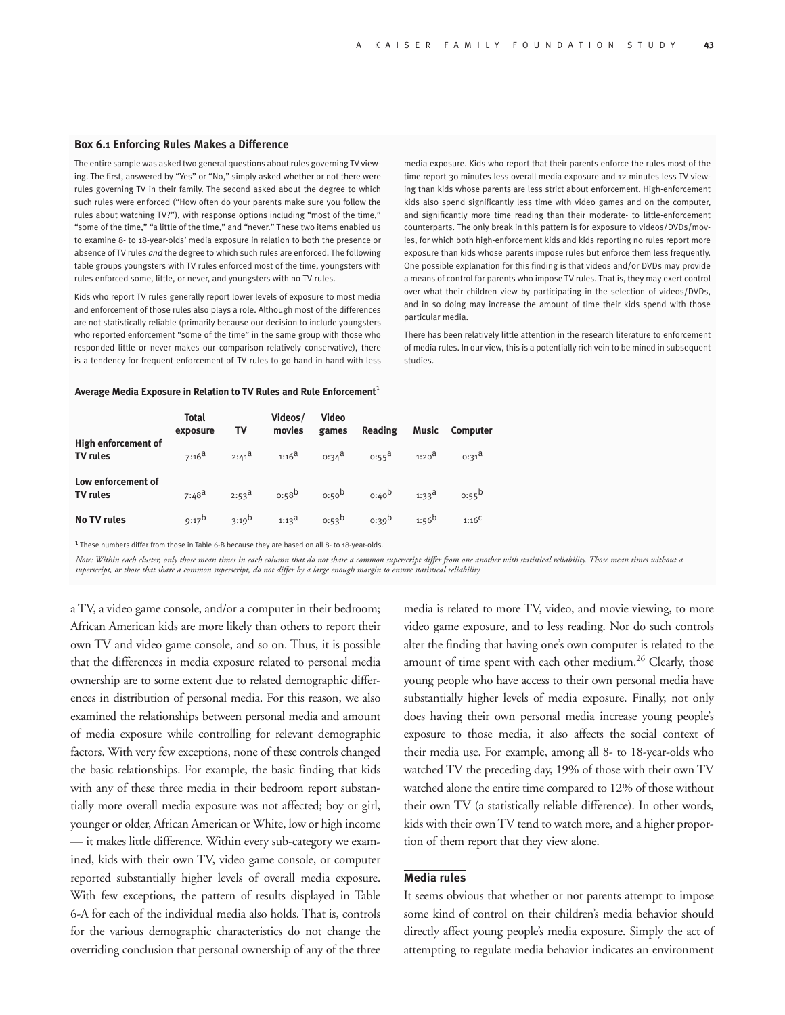#### **Box 6.1 Enforcing Rules Makes a Difference**

The entire sample was asked two general questions about rules governing TV viewing. The first, answered by "Yes" or "No," simply asked whether or not there were rules governing TV in their family. The second asked about the degree to which such rules were enforced ("How often do your parents make sure you follow the rules about watching TV?"), with response options including "most of the time," "some of the time," "a little of the time," and "never." These two items enabled us to examine 8- to 18-year-olds' media exposure in relation to both the presence or absence of TV rules *and* the degree to which such rules are enforced. The following table groups youngsters with TV rules enforced most of the time, youngsters with rules enforced some, little, or never, and youngsters with no TV rules.

Kids who report TV rules generally report lower levels of exposure to most media and enforcement of those rules also plays a role. Although most of the differences are not statistically reliable (primarily because our decision to include youngsters who reported enforcement "some of the time" in the same group with those who responded little or never makes our comparison relatively conservative), there is a tendency for frequent enforcement of TV rules to go hand in hand with less

media exposure. Kids who report that their parents enforce the rules most of the time report 30 minutes less overall media exposure and 12 minutes less TV viewing than kids whose parents are less strict about enforcement. High-enforcement kids also spend significantly less time with video games and on the computer, and significantly more time reading than their moderate- to little-enforcement counterparts. The only break in this pattern is for exposure to videos/DVDs/movies, for which both high-enforcement kids and kids reporting no rules report more exposure than kids whose parents impose rules but enforce them less frequently. One possible explanation for this finding is that videos and/or DVDs may provide a means of control for parents who impose TV rules. That is, they may exert control over what their children view by participating in the selection of videos/DVDs, and in so doing may increase the amount of time their kids spend with those particular media.

There has been relatively little attention in the research literature to enforcement of media rules. In our view, this is a potentially rich vein to be mined in subsequent studies.

#### **Average Media Exposure in Relation to TV Rules and Rule Enforcement**<sup>1</sup>

|                                        | <b>Total</b><br>exposure | TV                | Videos/<br>movies | <b>Video</b><br>games | Reading           | Music             | <b>Computer</b>   |
|----------------------------------------|--------------------------|-------------------|-------------------|-----------------------|-------------------|-------------------|-------------------|
| High enforcement of<br><b>TV rules</b> | $7:16^{\text{a}}$        | $2:41^{\text{d}}$ | $1:16^{a}$        | $0:34^{\text{a}}$     | $0:55^{\text{a}}$ | 1:20 <sup>d</sup> | $0:31^{\text{d}}$ |
| Low enforcement of<br><b>TV</b> rules  | $7:48^{a}$               | $2:53^{\text{d}}$ | $0.58^{b}$        | o:50 <sup>b</sup>     | $0:40^{b}$        | $1:33^{\text{d}}$ | $0:55^{b}$        |
| <b>No TV rules</b>                     | $9:17^{b}$               | $3:19^{b}$        | $1:13^{\text{a}}$ | $0.53^{b}$            | 0.39 <sup>b</sup> | $1:56^{b}$        | $1:16^{C}$        |

<sup>1</sup> These numbers differ from those in Table 6-B because they are based on all 8- to 18-year-olds

*Note: Within each cluster, only those mean times in each column that do not share a common superscript differ from one another with statistical reliability. Those mean times without a superscript, or those that share a common superscript, do not differ by a large enough margin to ensure statistical reliability.*

a TV, a video game console, and/or a computer in their bedroom; African American kids are more likely than others to report their own TV and video game console, and so on. Thus, it is possible that the differences in media exposure related to personal media ownership are to some extent due to related demographic differences in distribution of personal media. For this reason, we also examined the relationships between personal media and amount of media exposure while controlling for relevant demographic factors. With very few exceptions, none of these controls changed the basic relationships. For example, the basic finding that kids with any of these three media in their bedroom report substantially more overall media exposure was not affected; boy or girl, younger or older, African American or White, low or high income — it makes little difference. Within every sub-category we examined, kids with their own TV, video game console, or computer reported substantially higher levels of overall media exposure. With few exceptions, the pattern of results displayed in Table 6-A for each of the individual media also holds. That is, controls for the various demographic characteristics do not change the overriding conclusion that personal ownership of any of the three

media is related to more TV, video, and movie viewing, to more video game exposure, and to less reading. Nor do such controls alter the finding that having one's own computer is related to the amount of time spent with each other medium.<sup>26</sup> Clearly, those young people who have access to their own personal media have substantially higher levels of media exposure. Finally, not only does having their own personal media increase young people's exposure to those media, it also affects the social context of their media use. For example, among all 8- to 18-year-olds who watched TV the preceding day, 19% of those with their own TV watched alone the entire time compared to 12% of those without their own TV (a statistically reliable difference). In other words, kids with their own TV tend to watch more, and a higher proportion of them report that they view alone.

#### **Media rules**

It seems obvious that whether or not parents attempt to impose some kind of control on their children's media behavior should directly affect young people's media exposure. Simply the act of attempting to regulate media behavior indicates an environment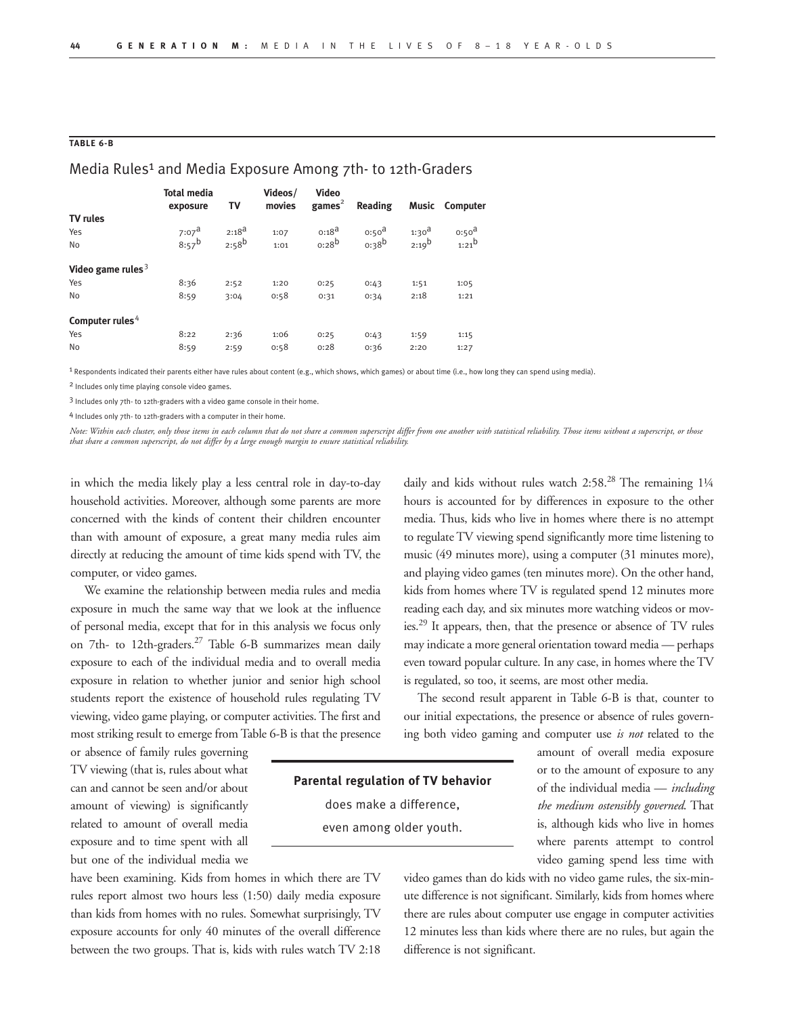#### **TABLE 6-B**

#### Media Rules<sup>1</sup> and Media Exposure Among 7th- to 12th-Graders

|                      | <b>Total media</b><br>exposure | TV         | Videos/<br>movies | <b>Video</b><br>$\text{games}^2$ | Reading           |            | Music Computer    |
|----------------------|--------------------------------|------------|-------------------|----------------------------------|-------------------|------------|-------------------|
| <b>TV rules</b>      |                                |            |                   |                                  |                   |            |                   |
| Yes                  | $7:07^{\text{a}}$              | $2:18^{d}$ | 1:07              | $0:18^{a}$                       | 0:50 <sup>d</sup> | $1:30^{a}$ | 0:50 <sup>d</sup> |
| <b>No</b>            | $8:57^{b}$                     | $2:58^{b}$ | 1:01              | $0:28^{b}$                       | 0.38 <sup>b</sup> | $2:19^{b}$ | $1:21^{b}$        |
| Video game rules $3$ |                                |            |                   |                                  |                   |            |                   |
| Yes                  | 8:36                           | 2:52       | 1:20              | 0:25                             | 0:43              | 1:51       | 1:05              |
| <b>No</b>            | 8:59                           | 3:04       | 0:58              | 0:31                             | 0:34              | 2:18       | 1:21              |
| Computer rules $4$   |                                |            |                   |                                  |                   |            |                   |
| Yes                  | 8:22                           | 2:36       | 1:06              | 0:25                             | 0:43              | 1:59       | 1:15              |
| <b>No</b>            | 8:59                           | 2:59       | 0:58              | 0:28                             | 0:36              | 2:20       | 1:27              |

1 Respondents indicated their parents either have rules about content (e.g., which shows, which games) or about time (i.e., how long they can spend using media).

2 Includes only time playing console video games.

3 Includes only 7th- to 12th-graders with a video game console in their home.

4 Includes only 7th- to 12th-graders with a computer in their home.

*Note: Within each cluster, only those items in each column that do not share a common superscript differ from one another with statistical reliability. Those items without a superscript, or those that share a common superscript, do not differ by a large enough margin to ensure statistical reliability.*

in which the media likely play a less central role in day-to-day household activities. Moreover, although some parents are more concerned with the kinds of content their children encounter than with amount of exposure, a great many media rules aim directly at reducing the amount of time kids spend with TV, the computer, or video games.

We examine the relationship between media rules and media exposure in much the same way that we look at the influence of personal media, except that for in this analysis we focus only on 7th- to 12th-graders.<sup>27</sup> Table 6-B summarizes mean daily exposure to each of the individual media and to overall media exposure in relation to whether junior and senior high school students report the existence of household rules regulating TV viewing, video game playing, or computer activities. The first and most striking result to emerge from Table 6-B is that the presence

or absence of family rules governing TV viewing (that is, rules about what can and cannot be seen and/or about amount of viewing) is significantly related to amount of overall media exposure and to time spent with all but one of the individual media we

have been examining. Kids from homes in which there are TV rules report almost two hours less (1:50) daily media exposure than kids from homes with no rules. Somewhat surprisingly, TV exposure accounts for only 40 minutes of the overall difference between the two groups. That is, kids with rules watch TV 2:18 daily and kids without rules watch 2:58.<sup>28</sup> The remaining 11/4 hours is accounted for by differences in exposure to the other media. Thus, kids who live in homes where there is no attempt to regulate TV viewing spend significantly more time listening to music (49 minutes more), using a computer (31 minutes more), and playing video games (ten minutes more). On the other hand, kids from homes where TV is regulated spend 12 minutes more reading each day, and six minutes more watching videos or movies.29 It appears, then, that the presence or absence of TV rules may indicate a more general orientation toward media — perhaps even toward popular culture. In any case, in homes where the TV is regulated, so too, it seems, are most other media.

The second result apparent in Table 6-B is that, counter to our initial expectations, the presence or absence of rules governing both video gaming and computer use *is not* related to the

**Parental regulation of TV behavior**  does make a difference, even among older youth.

amount of overall media exposure or to the amount of exposure to any of the individual media — *including the medium ostensibly governed*. That is, although kids who live in homes where parents attempt to control video gaming spend less time with

video games than do kids with no video game rules, the six-minute difference is not significant. Similarly, kids from homes where there are rules about computer use engage in computer activities 12 minutes less than kids where there are no rules, but again the difference is not significant.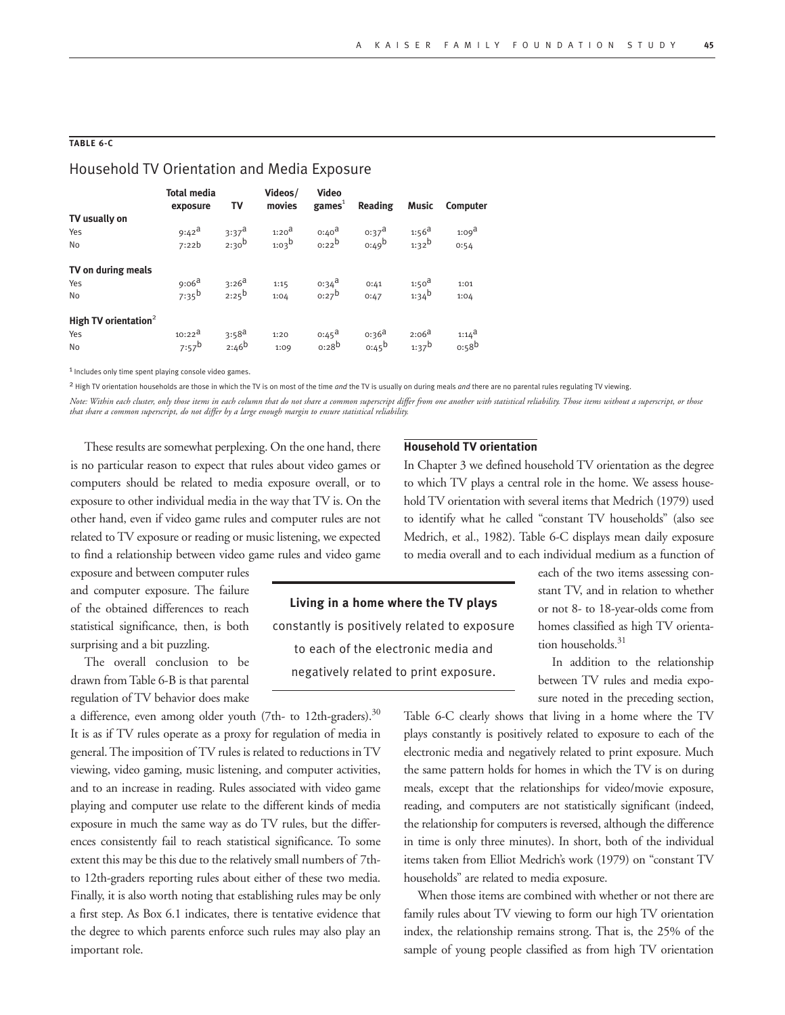#### **TABLE 6-C**

### Household TV Orientation and Media Exposure

|                                  | <b>Total media</b><br>exposure | TV                | Videos/<br>movies | <b>Video</b><br>$\text{games}^1$ | Reading           | Music             | Computer          |
|----------------------------------|--------------------------------|-------------------|-------------------|----------------------------------|-------------------|-------------------|-------------------|
| TV usually on                    |                                |                   |                   |                                  |                   |                   |                   |
| Yes                              | $9:42^{\mathsf{a}}$            | $3:37^{\text{a}}$ | 1:20 <sup>d</sup> | $0:40^{\text{d}}$                | $0:37^{\text{a}}$ | $1:56^{\text{a}}$ | 1:09 <sup>d</sup> |
| <b>No</b>                        | 7:22b                          | $2:30^{b}$        | $1:03^b$          | $0:22^b$                         | $0:49^b$          | $1:32^{b}$        | 0:54              |
| TV on during meals               |                                |                   |                   |                                  |                   |                   |                   |
| Yes                              | $9:06^{\text{a}}$              | $3:26^{a}$        | 1:15              | $0.34^{\text{a}}$                | 0:41              | $1:50^{\text{a}}$ | 1:01              |
| No                               | $7:35^b$                       | $2:25^{b}$        | 1:04              | $0:27^b$                         | 0:47              | $1:34^{b}$        | 1:04              |
| High TV orientation <sup>2</sup> |                                |                   |                   |                                  |                   |                   |                   |
| Yes                              | $10:22^{\text{a}}$             | $3:58^{a}$        | 1:20              | $0:45^{\text{a}}$                | $0:36^{\text{a}}$ | $2:06^{a}$        | $1:14^{\text{d}}$ |
| No                               | $7:57^b$                       | $2:46^{b}$        | 1:09              | $0:28^{b}$                       | $0:45^{\circ}$    | $1:37^{b}$        | 0.58 <sup>b</sup> |

1 Includes only time spent playing console video games.

2 High TV orientation households are those in which the TV is on most of the time *and* the TV is usually on during meals *and* there are no parental rules regulating TV viewing.

*Note: Within each cluster, only those items in each column that do not share a common superscript differ from one another with statistical reliability. Those items without a superscript, or those that share a common superscript, do not differ by a large enough margin to ensure statistical reliability.*

These results are somewhat perplexing. On the one hand, there is no particular reason to expect that rules about video games or computers should be related to media exposure overall, or to exposure to other individual media in the way that TV is. On the other hand, even if video game rules and computer rules are not related to TV exposure or reading or music listening, we expected to find a relationship between video game rules and video game

exposure and between computer rules and computer exposure. The failure of the obtained differences to reach statistical significance, then, is both surprising and a bit puzzling.

The overall conclusion to be drawn from Table 6-B is that parental regulation of TV behavior does make

a difference, even among older youth (7th- to 12th-graders).<sup>30</sup> It is as if TV rules operate as a proxy for regulation of media in general. The imposition of TV rules is related to reductions in TV viewing, video gaming, music listening, and computer activities, and to an increase in reading. Rules associated with video game playing and computer use relate to the different kinds of media exposure in much the same way as do TV rules, but the differences consistently fail to reach statistical significance. To some extent this may be this due to the relatively small numbers of 7thto 12th-graders reporting rules about either of these two media. Finally, it is also worth noting that establishing rules may be only a first step. As Box 6.1 indicates, there is tentative evidence that the degree to which parents enforce such rules may also play an important role.

#### **Household TV orientation**

In Chapter 3 we defined household TV orientation as the degree to which TV plays a central role in the home. We assess household TV orientation with several items that Medrich (1979) used to identify what he called "constant TV households" (also see Medrich, et al., 1982). Table 6-C displays mean daily exposure to media overall and to each individual medium as a function of

**Living in a home where the TV plays**  constantly is positively related to exposure to each of the electronic media and negatively related to print exposure.

each of the two items assessing constant TV, and in relation to whether or not 8- to 18-year-olds come from homes classified as high TV orientation households.<sup>31</sup>

In addition to the relationship between TV rules and media exposure noted in the preceding section,

Table 6-C clearly shows that living in a home where the TV plays constantly is positively related to exposure to each of the electronic media and negatively related to print exposure. Much the same pattern holds for homes in which the TV is on during meals, except that the relationships for video/movie exposure, reading, and computers are not statistically significant (indeed, the relationship for computers is reversed, although the difference in time is only three minutes). In short, both of the individual items taken from Elliot Medrich's work (1979) on "constant TV households" are related to media exposure.

When those items are combined with whether or not there are family rules about TV viewing to form our high TV orientation index, the relationship remains strong. That is, the 25% of the sample of young people classified as from high TV orientation